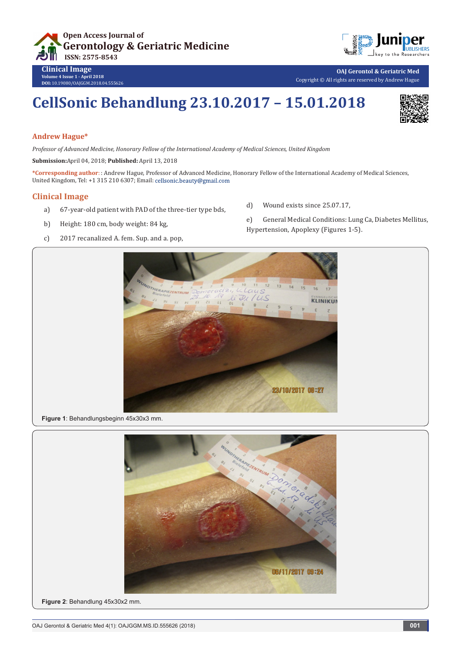

**OAJ Gerontol & Geriatric Med** Copyright © All rights are reserved by Andrew Hague

# **CellSonic Behandlung 23.10.2017 – 15.01.2018**

### **Andrew Hague\***

**Volume 4 Issue 1 - April 2018 DOI:** [10.19080/OAJGGM.2018.04.55562](http://dx.doi.org/10.19080/OAJGGM.2018.04.555626)6

*Professor of Advanced Medicine, Honorary Fellow of the International Academy of Medical Sciences, United Kingdom*

**Submission:**April 04, 2018; **Published:** April 13, 2018

**\*Corresponding author**: : Andrew Hague, Professor of Advanced Medicine, Honorary Fellow of the International Academy of Medical Sciences, United Kingdom, Tel: +1 315 210 6307; Email: cellsonic.beauty@gmail.com

### **Clinical Image**

- a) 67-year-old patient with PAD of the three-tier type bds,
- b) Height: 180 cm, body weight: 84 kg,
- c) 2017 recanalized A. fem. Sup. and a. pop,
- d) Wound exists since 25.07.17,
- e) General Medical Conditions: Lung Ca, Diabetes Mellitus, Hypertension, Apoplexy (Figures 1-5).









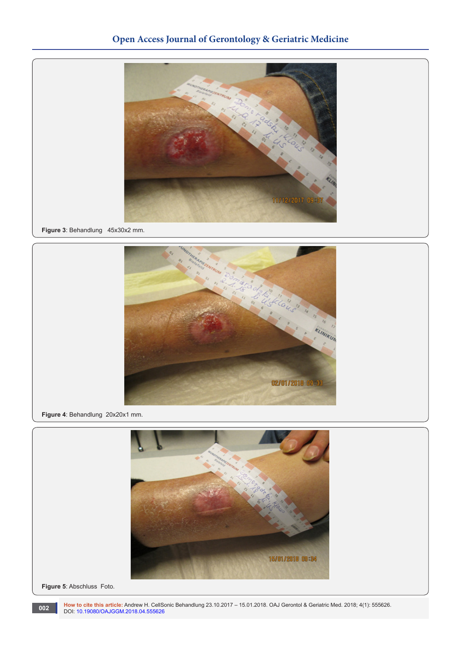## **Open Access Journal of Gerontology & Geriatric Medicine**



**Figure 3**: Behandlung 45x30x2 mm.



**Figure 4**: Behandlung 20x20x1 mm.



**Figure 5**: Abschluss Foto.

**How to cite this article:** Andrew H. CellSonic Behandlung 23.10.2017 – 15.01.2018. OAJ Gerontol & Geriatric Med. 2018; 4(1): 555626. DOI: [10.19080/OAJGGM.2018.04.555626](http://dx.doi.org/10.19080/OAJGGM.2018.04.555626) **<sup>002</sup>**